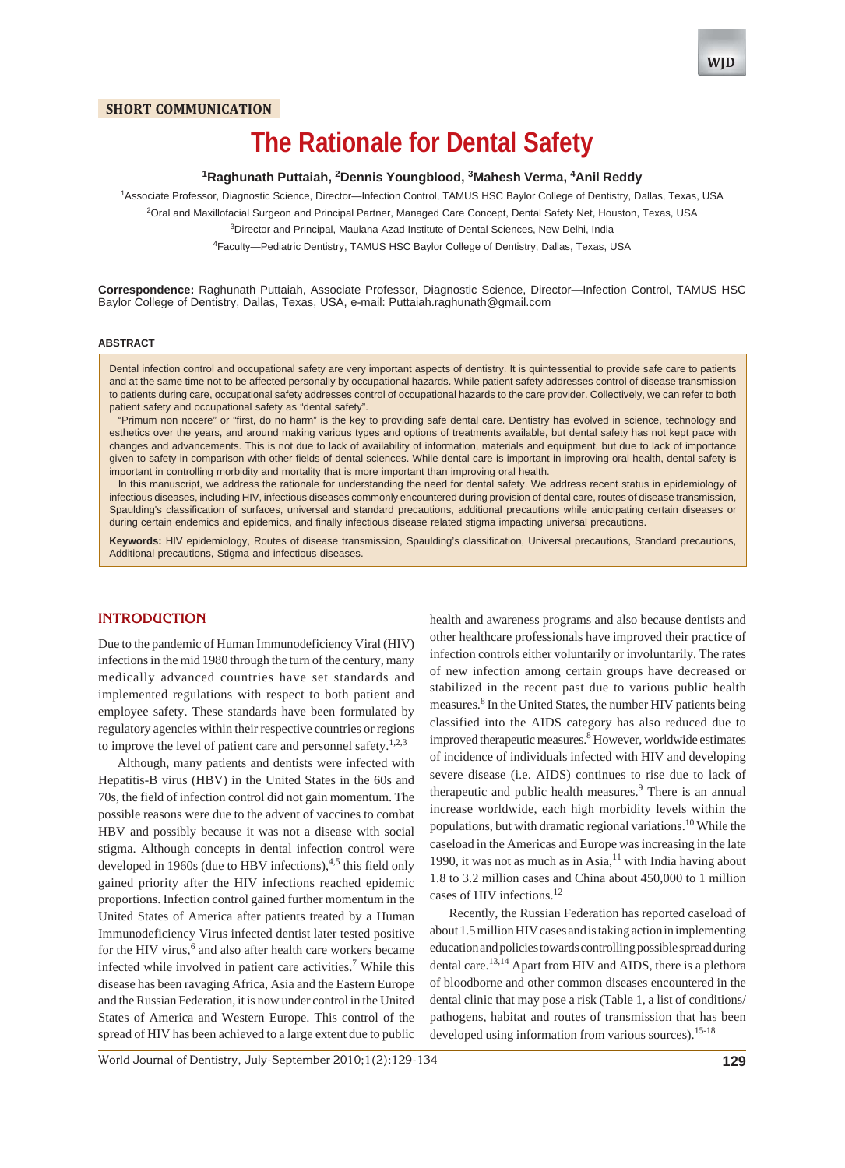# **The Rationale for Dental Safety**

# **1 Raghunath Puttaiah, 2 Dennis Youngblood, 3 Mahesh Verma, 4 Anil Reddy**

1 Associate Professor, Diagnostic Science, Director—Infection Control, TAMUS HSC Baylor College of Dentistry, Dallas, Texas, USA <sup>2</sup>Oral and Maxillofacial Surgeon and Principal Partner, Managed Care Concept, Dental Safety Net, Houston, Texas, USA

<sup>3</sup>Director and Principal, Maulana Azad Institute of Dental Sciences, New Delhi, India

4 Faculty—Pediatric Dentistry, TAMUS HSC Baylor College of Dentistry, Dallas, Texas, USA

**Correspondence:** Raghunath Puttaiah, Associate Professor, Diagnostic Science, Director—Infection Control, TAMUS HSC Baylor College of Dentistry, Dallas, Texas, USA, e-mail: Puttaiah.raghunath@gmail.com

#### **ABSTRACT**

Dental infection control and occupational safety are very important aspects of dentistry. It is quintessential to provide safe care to patients and at the same time not to be affected personally by occupational hazards. While patient safety addresses control of disease transmission to patients during care, occupational safety addresses control of occupational hazards to the care provider. Collectively, we can refer to both patient safety and occupational safety as "dental safety".

"Primum non nocere" or "first, do no harm" is the key to providing safe dental care. Dentistry has evolved in science, technology and esthetics over the years, and around making various types and options of treatments available, but dental safety has not kept pace with changes and advancements. This is not due to lack of availability of information, materials and equipment, but due to lack of importance given to safety in comparison with other fields of dental sciences. While dental care is important in improving oral health, dental safety is important in controlling morbidity and mortality that is more important than improving oral health.

In this manuscript, we address the rationale for understanding the need for dental safety. We address recent status in epidemiology of infectious diseases, including HIV, infectious diseases commonly encountered during provision of dental care, routes of disease transmission, Spaulding's classification of surfaces, universal and standard precautions, additional precautions while anticipating certain diseases or during certain endemics and epidemics, and finally infectious disease related stigma impacting universal precautions.

**Keywords:** HIV epidemiology, Routes of disease transmission, Spaulding's classification, Universal precautions, Standard precautions, Additional precautions, Stigma and infectious diseases.

## **INTRODUCTION**

Due to the pandemic of Human Immunodeficiency Viral (HIV) infections in the mid 1980 through the turn of the century, many medically advanced countries have set standards and implemented regulations with respect to both patient and employee safety. These standards have been formulated by regulatory agencies within their respective countries or regions to improve the level of patient care and personnel safety.<sup>1,2,3</sup>

Although, many patients and dentists were infected with Hepatitis-B virus (HBV) in the United States in the 60s and 70s, the field of infection control did not gain momentum. The possible reasons were due to the advent of vaccines to combat HBV and possibly because it was not a disease with social stigma. Although concepts in dental infection control were developed in 1960s (due to HBV infections), $4.5$  this field only gained priority after the HIV infections reached epidemic proportions. Infection control gained further momentum in the United States of America after patients treated by a Human Immunodeficiency Virus infected dentist later tested positive for the HIV virus,<sup>6</sup> and also after health care workers became infected while involved in patient care activities.<sup>7</sup> While this disease has been ravaging Africa, Asia and the Eastern Europe and the Russian Federation, it is now under control in the United States of America and Western Europe. This control of the spread of HIV has been achieved to a large extent due to public

health and awareness programs and also because dentists and other healthcare professionals have improved their practice of infection controls either voluntarily or involuntarily. The rates of new infection among certain groups have decreased or stabilized in the recent past due to various public health measures.<sup>8</sup> In the United States, the number HIV patients being classified into the AIDS category has also reduced due to improved therapeutic measures.<sup>8</sup> However, worldwide estimates of incidence of individuals infected with HIV and developing severe disease (i.e. AIDS) continues to rise due to lack of therapeutic and public health measures.<sup>9</sup> There is an annual increase worldwide, each high morbidity levels within the populations, but with dramatic regional variations.<sup>10</sup> While the caseload in the Americas and Europe was increasing in the late 1990, it was not as much as in Asia, $11$  with India having about 1.8 to 3.2 million cases and China about 450,000 to 1 million cases of HIV infections.<sup>12</sup>

Recently, the Russian Federation has reported caseload of about 1.5 million HIV cases and is taking action in implementing education and policies towards controlling possible spread during dental care.<sup>13,14</sup> Apart from HIV and AIDS, there is a plethora of bloodborne and other common diseases encountered in the dental clinic that may pose a risk (Table 1, a list of conditions/ pathogens, habitat and routes of transmission that has been developed using information from various sources).<sup>15-18</sup>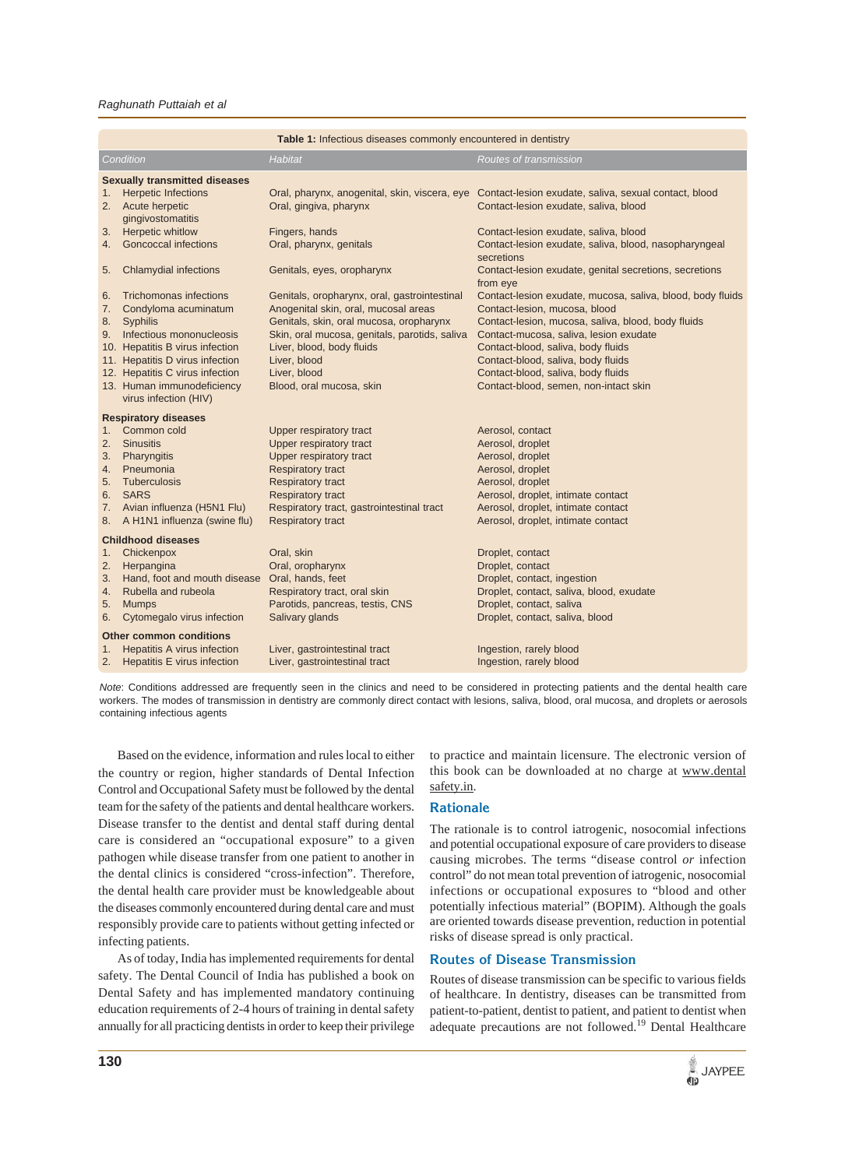#### *Raghunath Puttaiah et al*

| Table 1: Infectious diseases commonly encountered in dentistry |                                                     |                                               |                                                                                                     |  |  |  |
|----------------------------------------------------------------|-----------------------------------------------------|-----------------------------------------------|-----------------------------------------------------------------------------------------------------|--|--|--|
|                                                                | Condition                                           | <b>Habitat</b>                                | Routes of transmission                                                                              |  |  |  |
|                                                                | <b>Sexually transmitted diseases</b>                |                                               |                                                                                                     |  |  |  |
| 1.                                                             | <b>Herpetic Infections</b>                          |                                               | Oral, pharynx, anogenital, skin, viscera, eye Contact-lesion exudate, saliva, sexual contact, blood |  |  |  |
| 2.                                                             | Acute herpetic                                      | Oral, gingiva, pharynx                        | Contact-lesion exudate, saliva, blood                                                               |  |  |  |
|                                                                | gingivostomatitis                                   |                                               |                                                                                                     |  |  |  |
| 3.                                                             | Herpetic whitlow                                    | Fingers, hands                                | Contact-lesion exudate, saliva, blood                                                               |  |  |  |
| 4.                                                             | <b>Goncoccal infections</b>                         | Oral, pharynx, genitals                       | Contact-lesion exudate, saliva, blood, nasopharyngeal<br>secretions                                 |  |  |  |
| 5.                                                             | <b>Chlamydial infections</b>                        | Genitals, eyes, oropharynx                    | Contact-lesion exudate, genital secretions, secretions<br>from eye                                  |  |  |  |
| 6.                                                             | <b>Trichomonas infections</b>                       | Genitals, oropharynx, oral, gastrointestinal  | Contact-lesion exudate, mucosa, saliva, blood, body fluids                                          |  |  |  |
| 7.                                                             | Condyloma acuminatum                                | Anogenital skin, oral, mucosal areas          | Contact-lesion, mucosa, blood                                                                       |  |  |  |
|                                                                | 8. Syphilis                                         | Genitals, skin, oral mucosa, oropharynx       | Contact-lesion, mucosa, saliva, blood, body fluids                                                  |  |  |  |
|                                                                | 9. Infectious mononucleosis                         | Skin, oral mucosa, genitals, parotids, saliva | Contact-mucosa, saliva, lesion exudate                                                              |  |  |  |
|                                                                | 10. Hepatitis B virus infection                     | Liver, blood, body fluids                     | Contact-blood, saliva, body fluids                                                                  |  |  |  |
|                                                                | 11. Hepatitis D virus infection                     | Liver, blood                                  | Contact-blood, saliva, body fluids                                                                  |  |  |  |
|                                                                | 12. Hepatitis C virus infection                     | Liver, blood                                  | Contact-blood, saliva, body fluids                                                                  |  |  |  |
|                                                                | 13. Human immunodeficiency<br>virus infection (HIV) | Blood, oral mucosa, skin                      | Contact-blood, semen, non-intact skin                                                               |  |  |  |
| <b>Respiratory diseases</b>                                    |                                                     |                                               |                                                                                                     |  |  |  |
| 1 <sup>1</sup>                                                 | Common cold                                         | Upper respiratory tract                       | Aerosol, contact                                                                                    |  |  |  |
| 2.                                                             | <b>Sinusitis</b>                                    | Upper respiratory tract                       | Aerosol, droplet                                                                                    |  |  |  |
| 3.                                                             | Pharyngitis                                         | Upper respiratory tract                       | Aerosol, droplet                                                                                    |  |  |  |
| 4.                                                             | Pneumonia                                           | <b>Respiratory tract</b>                      | Aerosol, droplet                                                                                    |  |  |  |
| 5.                                                             | Tuberculosis                                        | <b>Respiratory tract</b>                      | Aerosol, droplet                                                                                    |  |  |  |
|                                                                | 6. SARS                                             | <b>Respiratory tract</b>                      | Aerosol, droplet, intimate contact                                                                  |  |  |  |
|                                                                | 7. Avian influenza (H5N1 Flu)                       | Respiratory tract, gastrointestinal tract     | Aerosol, droplet, intimate contact                                                                  |  |  |  |
| 8.                                                             | A H1N1 influenza (swine flu)                        | <b>Respiratory tract</b>                      | Aerosol, droplet, intimate contact                                                                  |  |  |  |
| <b>Childhood diseases</b>                                      |                                                     |                                               |                                                                                                     |  |  |  |
| 1.                                                             | Chickenpox                                          | Oral, skin                                    | Droplet, contact                                                                                    |  |  |  |
| 2.                                                             | Herpangina                                          | Oral, oropharynx                              | Droplet, contact                                                                                    |  |  |  |
| 3.                                                             | Hand, foot and mouth disease                        | Oral, hands, feet                             | Droplet, contact, ingestion                                                                         |  |  |  |
| 4.                                                             | Rubella and rubeola                                 | Respiratory tract, oral skin                  | Droplet, contact, saliva, blood, exudate                                                            |  |  |  |
| 5.                                                             | <b>Mumps</b>                                        | Parotids, pancreas, testis, CNS               | Droplet, contact, saliva                                                                            |  |  |  |
| 6.                                                             | Cytomegalo virus infection                          | Salivary glands                               | Droplet, contact, saliva, blood                                                                     |  |  |  |
|                                                                | <b>Other common conditions</b>                      |                                               |                                                                                                     |  |  |  |
| 1.                                                             | <b>Hepatitis A virus infection</b>                  | Liver, gastrointestinal tract                 | Ingestion, rarely blood                                                                             |  |  |  |
| 2.                                                             | <b>Hepatitis E virus infection</b>                  | Liver, gastrointestinal tract                 | Ingestion, rarely blood                                                                             |  |  |  |
|                                                                |                                                     |                                               |                                                                                                     |  |  |  |

*Note*: Conditions addressed are frequently seen in the clinics and need to be considered in protecting patients and the dental health care workers. The modes of transmission in dentistry are commonly direct contact with lesions, saliva, blood, oral mucosa, and droplets or aerosols containing infectious agents

Based on the evidence, information and rules local to either the country or region, higher standards of Dental Infection Control and Occupational Safety must be followed by the dental team for the safety of the patients and dental healthcare workers. Disease transfer to the dentist and dental staff during dental care is considered an "occupational exposure" to a given pathogen while disease transfer from one patient to another in the dental clinics is considered "cross-infection". Therefore, the dental health care provider must be knowledgeable about the diseases commonly encountered during dental care and must responsibly provide care to patients without getting infected or infecting patients.

As of today, India has implemented requirements for dental safety. The Dental Council of India has published a book on Dental Safety and has implemented mandatory continuing education requirements of 2-4 hours of training in dental safety annually for all practicing dentists in order to keep their privilege to practice and maintain licensure. The electronic version of this book can be downloaded at no charge at www.dental safety.in.

#### **Rationale**

The rationale is to control iatrogenic, nosocomial infections and potential occupational exposure of care providers to disease causing microbes. The terms "disease control *or* infection control" do not mean total prevention of iatrogenic, nosocomial infections or occupational exposures to "blood and other potentially infectious material" (BOPIM). Although the goals are oriented towards disease prevention, reduction in potential risks of disease spread is only practical.

## **Routes of Disease Transmission**

Routes of disease transmission can be specific to various fields of healthcare. In dentistry, diseases can be transmitted from patient-to-patient, dentist to patient, and patient to dentist when adequate precautions are not followed.<sup>19</sup> Dental Healthcare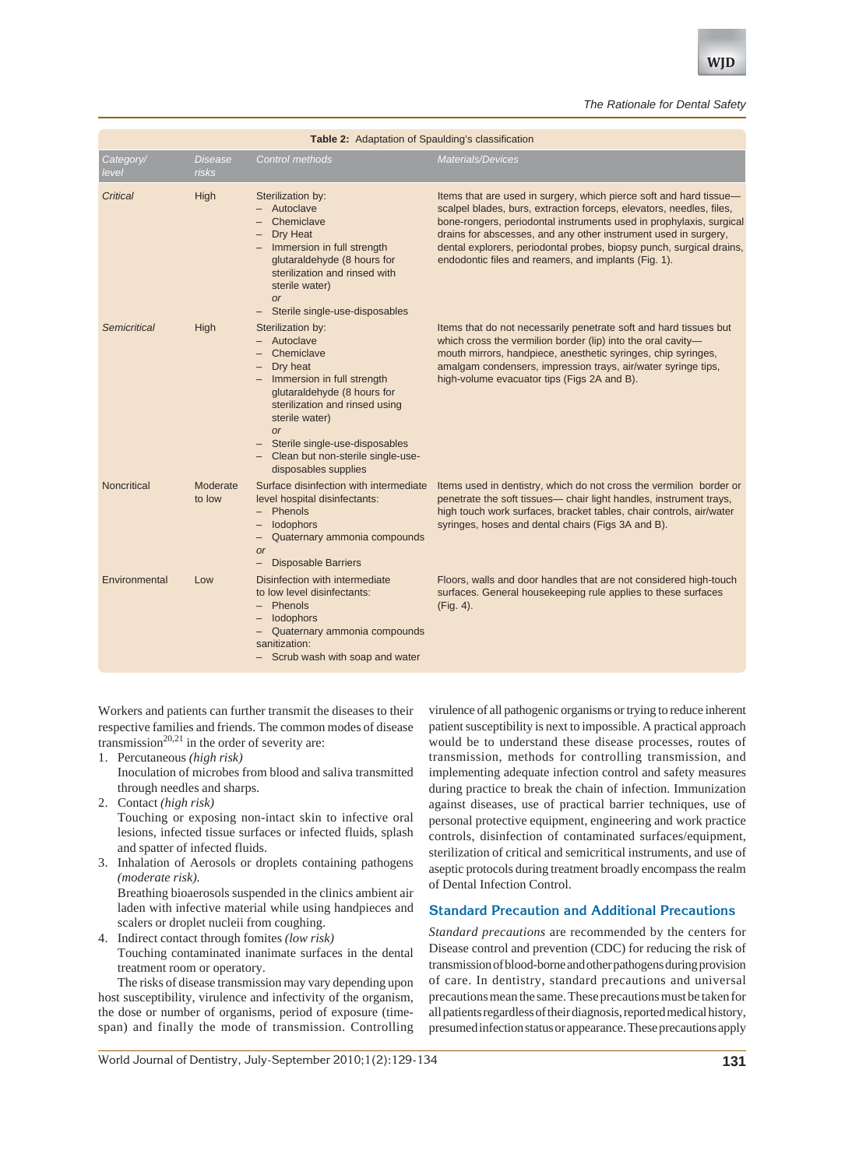#### *The Rationale for Dental Safety*

| Table 2: Adaptation of Spaulding's classification |                                |                                                                                                                                                                                                                                                                                           |                                                                                                                                                                                                                                                                                                                                                                                                                      |  |  |
|---------------------------------------------------|--------------------------------|-------------------------------------------------------------------------------------------------------------------------------------------------------------------------------------------------------------------------------------------------------------------------------------------|----------------------------------------------------------------------------------------------------------------------------------------------------------------------------------------------------------------------------------------------------------------------------------------------------------------------------------------------------------------------------------------------------------------------|--|--|
| Category/<br>level                                | <b>Disease</b><br><i>risks</i> | Control methods                                                                                                                                                                                                                                                                           | Materials/Devices                                                                                                                                                                                                                                                                                                                                                                                                    |  |  |
| Critical                                          | High                           | Sterilization by:<br>- Autoclave<br>Chemiclave<br>Dry Heat<br>- Immersion in full strength<br>glutaraldehyde (8 hours for<br>sterilization and rinsed with<br>sterile water)<br><b>or</b><br>Sterile single-use-disposables                                                               | Items that are used in surgery, which pierce soft and hard tissue-<br>scalpel blades, burs, extraction forceps, elevators, needles, files,<br>bone-rongers, periodontal instruments used in prophylaxis, surgical<br>drains for abscesses, and any other instrument used in surgery,<br>dental explorers, periodontal probes, biopsy punch, surgical drains,<br>endodontic files and reamers, and implants (Fig. 1). |  |  |
| Semicritical                                      | High                           | Sterilization by:<br>Autoclave<br>Chemiclave<br>Dry heat<br>- Immersion in full strength<br>glutaraldehyde (8 hours for<br>sterilization and rinsed using<br>sterile water)<br><b>or</b><br>Sterile single-use-disposables<br>- Clean but non-sterile single-use-<br>disposables supplies | Items that do not necessarily penetrate soft and hard tissues but<br>which cross the vermilion border (lip) into the oral cavity-<br>mouth mirrors, handpiece, anesthetic syringes, chip syringes,<br>amalgam condensers, impression trays, air/water syringe tips,<br>high-volume evacuator tips (Figs 2A and B).                                                                                                   |  |  |
| Noncritical                                       | Moderate<br>to low             | Surface disinfection with intermediate<br>level hospital disinfectants:<br>- Phenols<br>- lodophors<br>Quaternary ammonia compounds<br>-<br><b>or</b><br><b>Disposable Barriers</b><br>$-$                                                                                                | Items used in dentistry, which do not cross the vermilion border or<br>penetrate the soft tissues— chair light handles, instrument trays,<br>high touch work surfaces, bracket tables, chair controls, air/water<br>syringes, hoses and dental chairs (Figs 3A and B).                                                                                                                                               |  |  |
| Environmental                                     | Low                            | Disinfection with intermediate<br>to low level disinfectants:<br>- Phenols<br>lodophors<br>- Quaternary ammonia compounds<br>sanitization:<br>- Scrub wash with soap and water                                                                                                            | Floors, walls and door handles that are not considered high-touch<br>surfaces. General housekeeping rule applies to these surfaces<br>(Fig. 4).                                                                                                                                                                                                                                                                      |  |  |

Workers and patients can further transmit the diseases to their respective families and friends. The common modes of disease transmission<sup>20,21</sup> in the order of severity are:

1. Percutaneous *(high risk)*

Inoculation of microbes from blood and saliva transmitted through needles and sharps.

2. Contact *(high risk)*

Touching or exposing non-intact skin to infective oral lesions, infected tissue surfaces or infected fluids, splash and spatter of infected fluids.

3. Inhalation of Aerosols or droplets containing pathogens *(moderate risk).*

Breathing bioaerosols suspended in the clinics ambient air laden with infective material while using handpieces and scalers or droplet nucleii from coughing.

4. Indirect contact through fomites *(low risk)* Touching contaminated inanimate surfaces in the dental treatment room or operatory.

The risks of disease transmission may vary depending upon host susceptibility, virulence and infectivity of the organism, the dose or number of organisms, period of exposure (timespan) and finally the mode of transmission. Controlling

virulence of all pathogenic organisms or trying to reduce inherent patient susceptibility is next to impossible. A practical approach would be to understand these disease processes, routes of transmission, methods for controlling transmission, and implementing adequate infection control and safety measures during practice to break the chain of infection. Immunization against diseases, use of practical barrier techniques, use of personal protective equipment, engineering and work practice controls, disinfection of contaminated surfaces/equipment, sterilization of critical and semicritical instruments, and use of aseptic protocols during treatment broadly encompass the realm of Dental Infection Control.

# **Standard Precaution and Additional Precautions**

*Standard precautions* are recommended by the centers for Disease control and prevention (CDC) for reducing the risk of transmission of blood-borne and other pathogens during provision of care. In dentistry, standard precautions and universal precautions mean the same. These precautions must be taken for all patients regardless of their diagnosis, reported medical history, presumed infection status or appearance. These precautions apply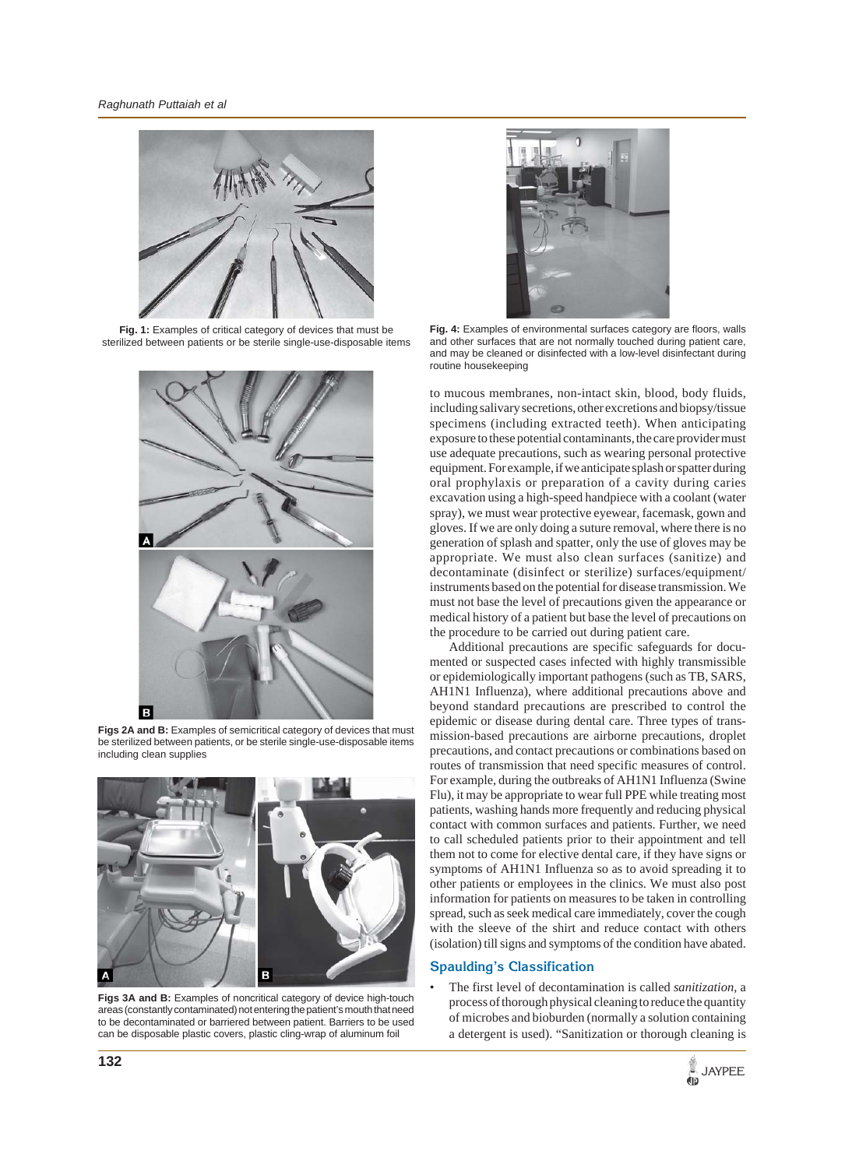

**Fig. 1:** Examples of critical category of devices that must be sterilized between patients or be sterile single-use-disposable items



Figs 2A and B: Examples of semicritical category of devices that must be sterilized between patients, or be sterile single-use-disposable items including clean supplies



**Figs 3A and B:** Examples of noncritical category of device high-touch areas (constantly contaminated) not entering the patient's mouth that need to be decontaminated or barriered between patient. Barriers to be used can be disposable plastic covers, plastic cling-wrap of aluminum foil



Fig. 4: Examples of environmental surfaces category are floors, walls and other surfaces that are not normally touched during patient care, and may be cleaned or disinfected with a low-level disinfectant during routine housekeeping

to mucous membranes, non-intact skin, blood, body fluids, including salivary secretions, other excretions and biopsy/tissue specimens (including extracted teeth). When anticipating exposure to these potential contaminants, the care provider must use adequate precautions, such as wearing personal protective equipment. For example, if we anticipate splash or spatter during oral prophylaxis or preparation of a cavity during caries excavation using a high-speed handpiece with a coolant (water spray), we must wear protective eyewear, facemask, gown and gloves. If we are only doing a suture removal, where there is no generation of splash and spatter, only the use of gloves may be appropriate. We must also clean surfaces (sanitize) and decontaminate (disinfect or sterilize) surfaces/equipment/ instruments based on the potential for disease transmission. We must not base the level of precautions given the appearance or medical history of a patient but base the level of precautions on the procedure to be carried out during patient care.

Additional precautions are specific safeguards for documented or suspected cases infected with highly transmissible or epidemiologically important pathogens (such as TB, SARS, AH1N1 Influenza), where additional precautions above and beyond standard precautions are prescribed to control the epidemic or disease during dental care. Three types of transmission-based precautions are airborne precautions, droplet precautions, and contact precautions or combinations based on routes of transmission that need specific measures of control. For example, during the outbreaks of AH1N1 Influenza (Swine Flu), it may be appropriate to wear full PPE while treating most patients, washing hands more frequently and reducing physical contact with common surfaces and patients. Further, we need to call scheduled patients prior to their appointment and tell them not to come for elective dental care, if they have signs or symptoms of AH1N1 Influenza so as to avoid spreading it to other patients or employees in the clinics. We must also post information for patients on measures to be taken in controlling spread, such as seek medical care immediately, cover the cough with the sleeve of the shirt and reduce contact with others (isolation) till signs and symptoms of the condition have abated.

# **Spaulding's Classification**

• The first level of decontamination is called *sanitization*, a process of thorough physical cleaning to reduce the quantity of microbes and bioburden (normally a solution containing a detergent is used). "Sanitization or thorough cleaning is

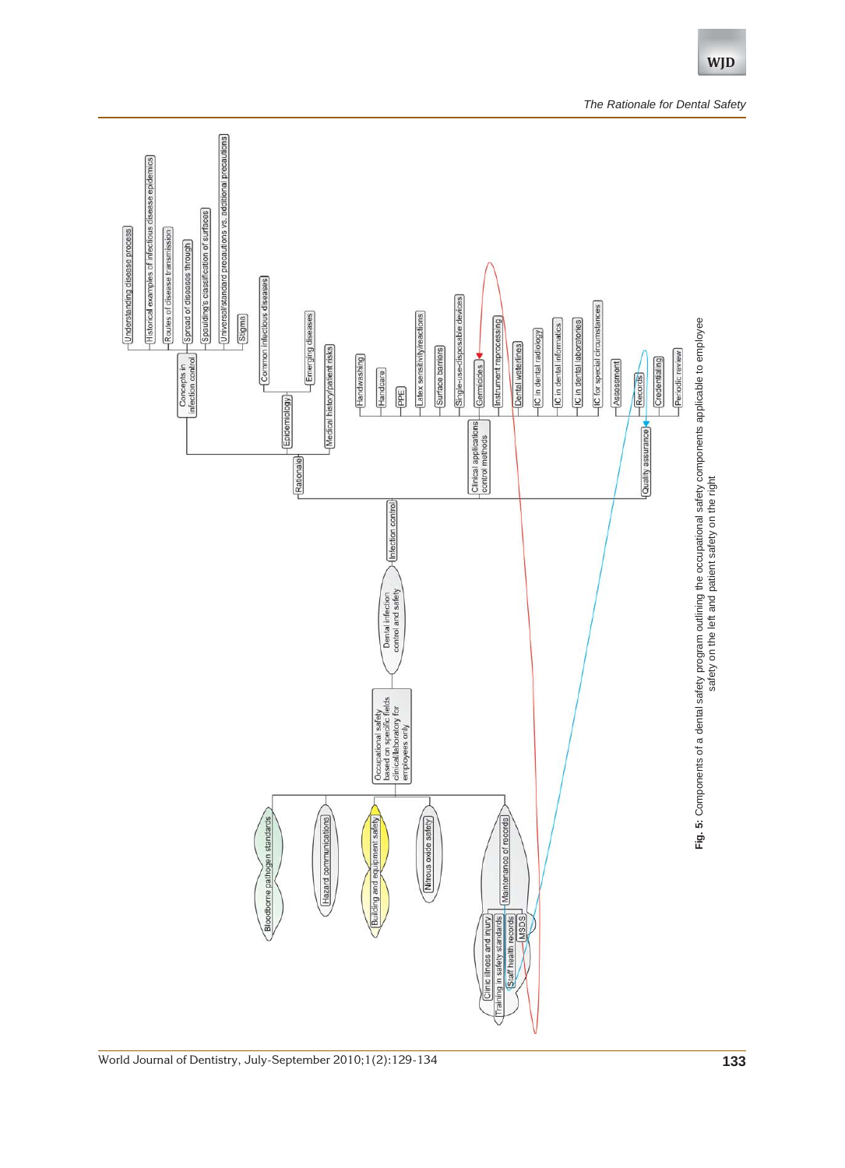

**WJD**